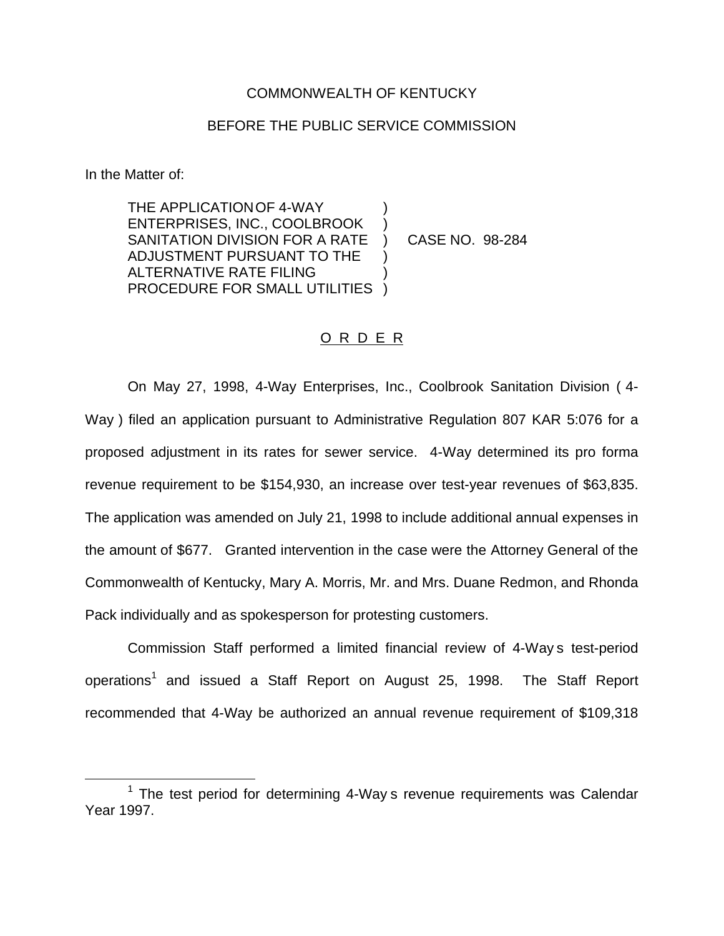## COMMONWEALTH OF KENTUCKY

## BEFORE THE PUBLIC SERVICE COMMISSION

In the Matter of:

THE APPLICATION OF 4-WAY ENTERPRISES, INC., COOLBROOK ) SANITATION DIVISION FOR A RATE ) CASE NO. 98-284 ADJUSTMENT PURSUANT TO THE ) ALTERNATIVE RATE FILING ) PROCEDURE FOR SMALL UTILITIES )

## O R D E R

On May 27, 1998, 4-Way Enterprises, Inc., Coolbrook Sanitation Division ( 4- Way ) filed an application pursuant to Administrative Regulation 807 KAR 5:076 for a proposed adjustment in its rates for sewer service. 4-Way determined its pro forma revenue requirement to be \$154,930, an increase over test-year revenues of \$63,835. The application was amended on July 21, 1998 to include additional annual expenses in the amount of \$677. Granted intervention in the case were the Attorney General of the Commonwealth of Kentucky, Mary A. Morris, Mr. and Mrs. Duane Redmon, and Rhonda Pack individually and as spokesperson for protesting customers.

Commission Staff performed a limited financial review of 4-Way s test-period operations<sup>1</sup> and issued a Staff Report on August 25, 1998. The Staff Report recommended that 4-Way be authorized an annual revenue requirement of \$109,318

 $1$  The test period for determining 4-Way s revenue requirements was Calendar Year 1997.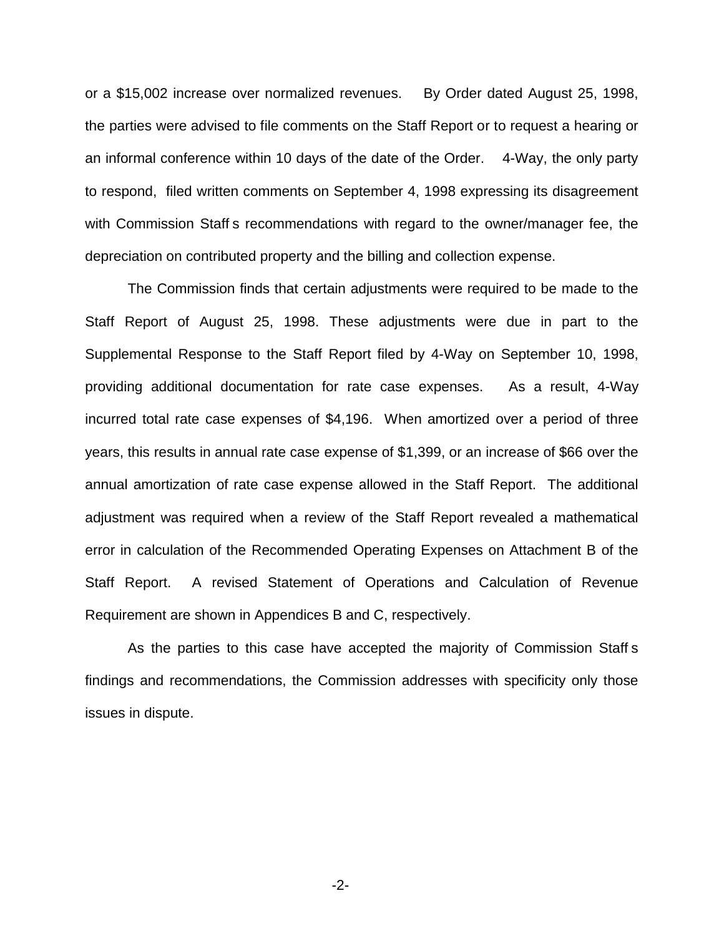or a \$15,002 increase over normalized revenues. By Order dated August 25, 1998, the parties were advised to file comments on the Staff Report or to request a hearing or an informal conference within 10 days of the date of the Order. 4-Way, the only party to respond, filed written comments on September 4, 1998 expressing its disagreement with Commission Staff s recommendations with regard to the owner/manager fee, the depreciation on contributed property and the billing and collection expense.

The Commission finds that certain adjustments were required to be made to the Staff Report of August 25, 1998. These adjustments were due in part to the Supplemental Response to the Staff Report filed by 4-Way on September 10, 1998, providing additional documentation for rate case expenses. As a result, 4-Way incurred total rate case expenses of \$4,196. When amortized over a period of three years, this results in annual rate case expense of \$1,399, or an increase of \$66 over the annual amortization of rate case expense allowed in the Staff Report. The additional adjustment was required when a review of the Staff Report revealed a mathematical error in calculation of the Recommended Operating Expenses on Attachment B of the Staff Report. A revised Statement of Operations and Calculation of Revenue Requirement are shown in Appendices B and C, respectively.

As the parties to this case have accepted the majority of Commission Staff s findings and recommendations, the Commission addresses with specificity only those issues in dispute.

-2-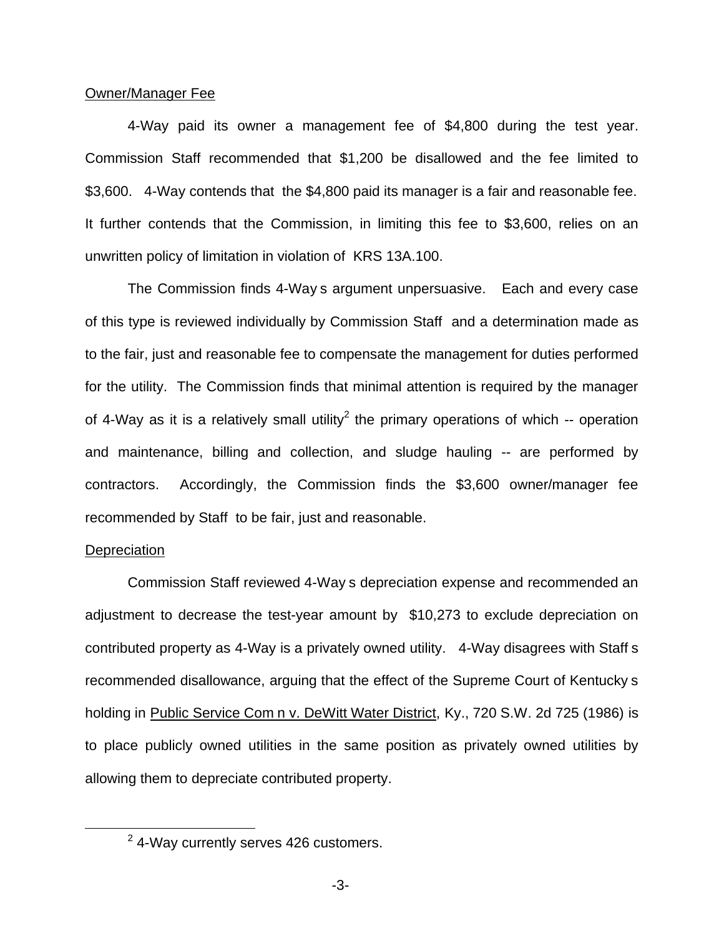#### Owner/Manager Fee

4-Way paid its owner a management fee of \$4,800 during the test year. Commission Staff recommended that \$1,200 be disallowed and the fee limited to \$3,600. 4-Way contends that the \$4,800 paid its manager is a fair and reasonable fee. It further contends that the Commission, in limiting this fee to \$3,600, relies on an unwritten policy of limitation in violation of KRS 13A.100.

The Commission finds 4-Way s argument unpersuasive. Each and every case of this type is reviewed individually by Commission Staff and a determination made as to the fair, just and reasonable fee to compensate the management for duties performed for the utility. The Commission finds that minimal attention is required by the manager of 4-Way as it is a relatively small utility<sup>2</sup> the primary operations of which -- operation and maintenance, billing and collection, and sludge hauling -- are performed by contractors. Accordingly, the Commission finds the \$3,600 owner/manager fee recommended by Staff to be fair, just and reasonable.

#### **Depreciation**

Commission Staff reviewed 4-Way s depreciation expense and recommended an adjustment to decrease the test-year amount by \$10,273 to exclude depreciation on contributed property as 4-Way is a privately owned utility. 4-Way disagrees with Staff s recommended disallowance, arguing that the effect of the Supreme Court of Kentucky s holding in Public Service Com n v. DeWitt Water District, Ky., 720 S.W. 2d 725 (1986) is to place publicly owned utilities in the same position as privately owned utilities by allowing them to depreciate contributed property.

<sup>2</sup> 4-Way currently serves 426 customers.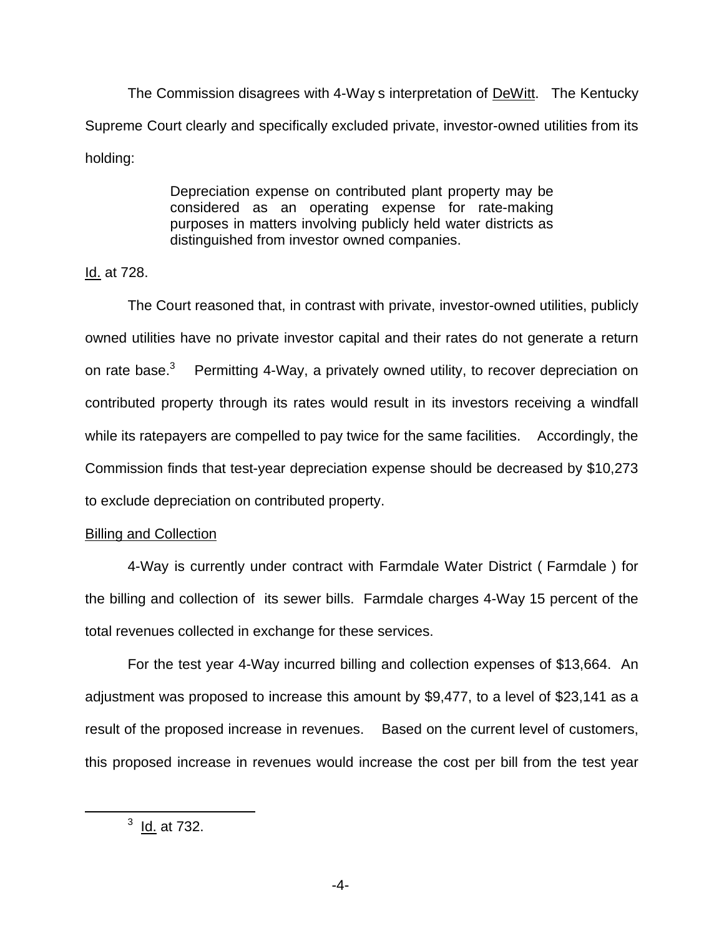The Commission disagrees with 4-Way s interpretation of DeWitt. The Kentucky Supreme Court clearly and specifically excluded private, investor-owned utilities from its holding:

> Depreciation expense on contributed plant property may be considered as an operating expense for rate-making purposes in matters involving publicly held water districts as distinguished from investor owned companies.

Id. at 728.

The Court reasoned that, in contrast with private, investor-owned utilities, publicly owned utilities have no private investor capital and their rates do not generate a return on rate base.<sup>3</sup> Permitting 4-Way, a privately owned utility, to recover depreciation on contributed property through its rates would result in its investors receiving a windfall while its ratepayers are compelled to pay twice for the same facilities. Accordingly, the Commission finds that test-year depreciation expense should be decreased by \$10,273 to exclude depreciation on contributed property.

## Billing and Collection

4-Way is currently under contract with Farmdale Water District ( Farmdale ) for the billing and collection of its sewer bills. Farmdale charges 4-Way 15 percent of the total revenues collected in exchange for these services.

For the test year 4-Way incurred billing and collection expenses of \$13,664. An adjustment was proposed to increase this amount by \$9,477, to a level of \$23,141 as a result of the proposed increase in revenues. Based on the current level of customers, this proposed increase in revenues would increase the cost per bill from the test year

 $3$  Id. at 732.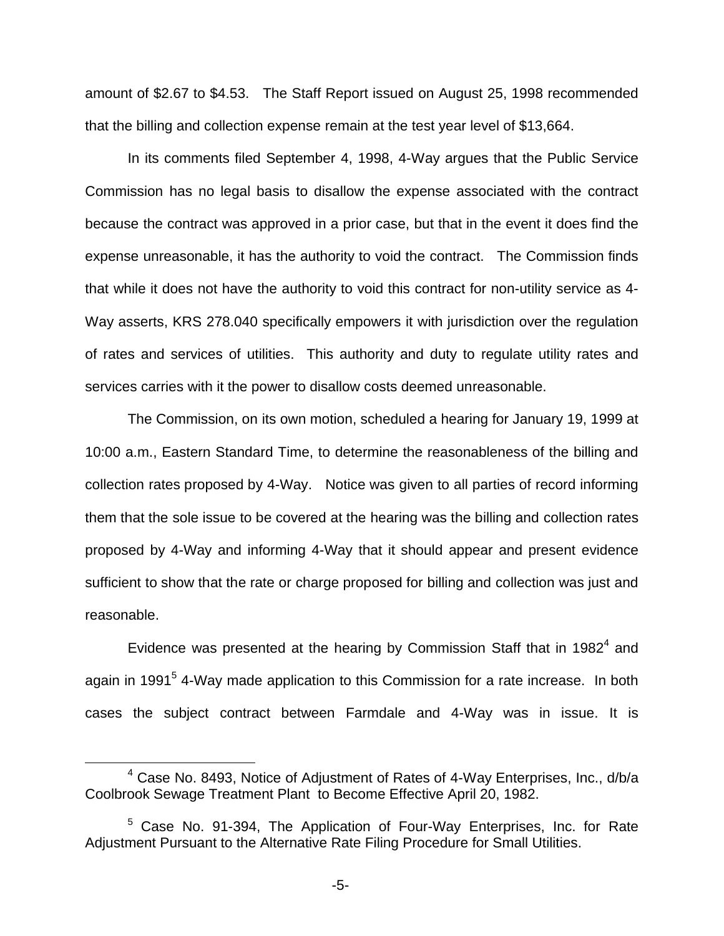amount of \$2.67 to \$4.53. The Staff Report issued on August 25, 1998 recommended that the billing and collection expense remain at the test year level of \$13,664.

In its comments filed September 4, 1998, 4-Way argues that the Public Service Commission has no legal basis to disallow the expense associated with the contract because the contract was approved in a prior case, but that in the event it does find the expense unreasonable, it has the authority to void the contract. The Commission finds that while it does not have the authority to void this contract for non-utility service as 4- Way asserts, KRS 278.040 specifically empowers it with jurisdiction over the regulation of rates and services of utilities. This authority and duty to regulate utility rates and services carries with it the power to disallow costs deemed unreasonable.

The Commission, on its own motion, scheduled a hearing for January 19, 1999 at 10:00 a.m., Eastern Standard Time, to determine the reasonableness of the billing and collection rates proposed by 4-Way. Notice was given to all parties of record informing them that the sole issue to be covered at the hearing was the billing and collection rates proposed by 4-Way and informing 4-Way that it should appear and present evidence sufficient to show that the rate or charge proposed for billing and collection was just and reasonable.

Evidence was presented at the hearing by Commission Staff that in 1982 $<sup>4</sup>$  and</sup> again in 1991<sup>5</sup> 4-Way made application to this Commission for a rate increase. In both cases the subject contract between Farmdale and 4-Way was in issue. It is

 $4$  Case No. 8493, Notice of Adjustment of Rates of 4-Way Enterprises, Inc.,  $d/b/a$ Coolbrook Sewage Treatment Plant to Become Effective April 20, 1982.

<sup>5</sup> Case No. 91-394, The Application of Four-Way Enterprises, Inc. for Rate Adjustment Pursuant to the Alternative Rate Filing Procedure for Small Utilities.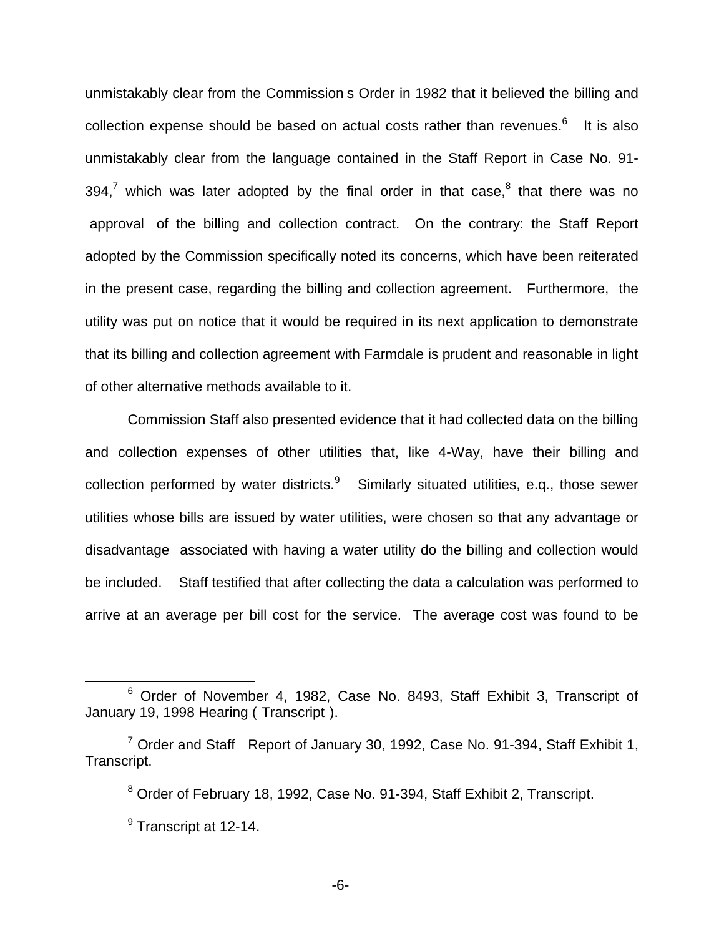unmistakably clear from the Commission s Order in 1982 that it believed the billing and collection expense should be based on actual costs rather than revenues. $6$  It is also unmistakably clear from the language contained in the Staff Report in Case No. 91- 394,<sup>7</sup> which was later adopted by the final order in that case, $8$  that there was no approval of the billing and collection contract. On the contrary: the Staff Report adopted by the Commission specifically noted its concerns, which have been reiterated in the present case, regarding the billing and collection agreement. Furthermore, the utility was put on notice that it would be required in its next application to demonstrate that its billing and collection agreement with Farmdale is prudent and reasonable in light of other alternative methods available to it.

Commission Staff also presented evidence that it had collected data on the billing and collection expenses of other utilities that, like 4-Way, have their billing and collection performed by water districts. $9$  Similarly situated utilities, e.g., those sewer utilities whose bills are issued by water utilities, were chosen so that any advantage or disadvantage associated with having a water utility do the billing and collection would be included. Staff testified that after collecting the data a calculation was performed to arrive at an average per bill cost for the service. The average cost was found to be

<sup>6</sup> Order of November 4, 1982, Case No. 8493, Staff Exhibit 3, Transcript of January 19, 1998 Hearing ( Transcript ).

 $7$  Order and Staff Report of January 30, 1992, Case No. 91-394, Staff Exhibit 1, Transcript.

<sup>&</sup>lt;sup>8</sup> Order of February 18, 1992, Case No. 91-394, Staff Exhibit 2, Transcript.

 $<sup>9</sup>$  Transcript at 12-14.</sup>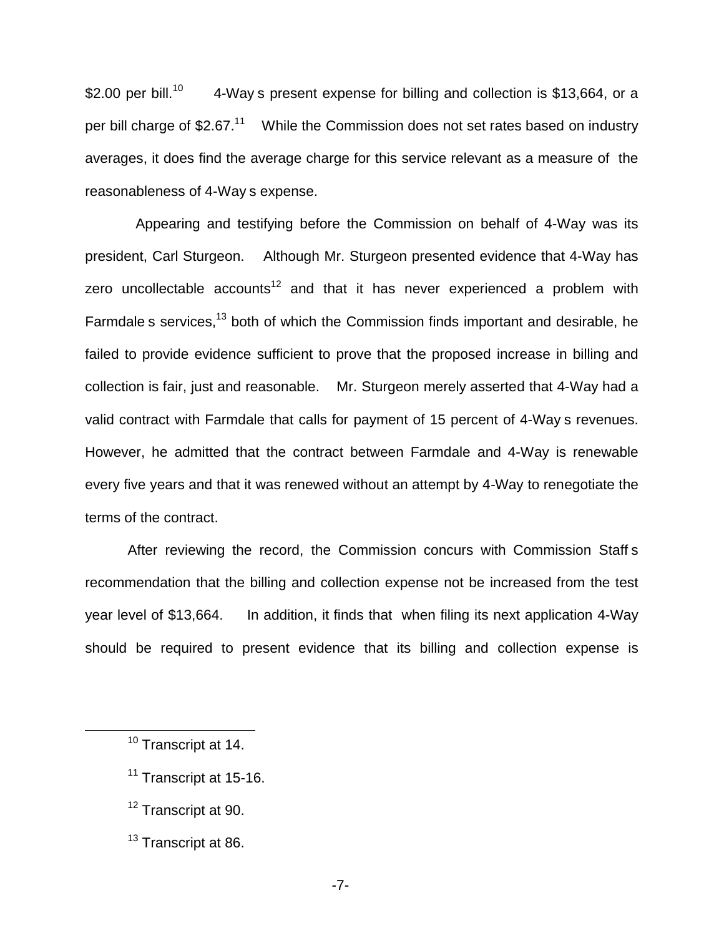\$2.00 per bill.<sup>10</sup> 4-Way s present expense for billing and collection is \$13,664, or a per bill charge of  $$2.67<sup>11</sup>$  While the Commission does not set rates based on industry averages, it does find the average charge for this service relevant as a measure of the reasonableness of 4-Way s expense.

Appearing and testifying before the Commission on behalf of 4-Way was its president, Carl Sturgeon. Although Mr. Sturgeon presented evidence that 4-Way has zero uncollectable accounts<sup>12</sup> and that it has never experienced a problem with Farmdale s services,<sup>13</sup> both of which the Commission finds important and desirable, he failed to provide evidence sufficient to prove that the proposed increase in billing and collection is fair, just and reasonable. Mr. Sturgeon merely asserted that 4-Way had a valid contract with Farmdale that calls for payment of 15 percent of 4-Way s revenues. However, he admitted that the contract between Farmdale and 4-Way is renewable every five years and that it was renewed without an attempt by 4-Way to renegotiate the terms of the contract.

After reviewing the record, the Commission concurs with Commission Staff s recommendation that the billing and collection expense not be increased from the test year level of \$13,664. In addition, it finds that when filing its next application 4-Way should be required to present evidence that its billing and collection expense is

- <sup>11</sup> Transcript at 15-16.
- <sup>12</sup> Transcript at 90.
- <sup>13</sup> Transcript at 86.

<sup>&</sup>lt;sup>10</sup> Transcript at 14.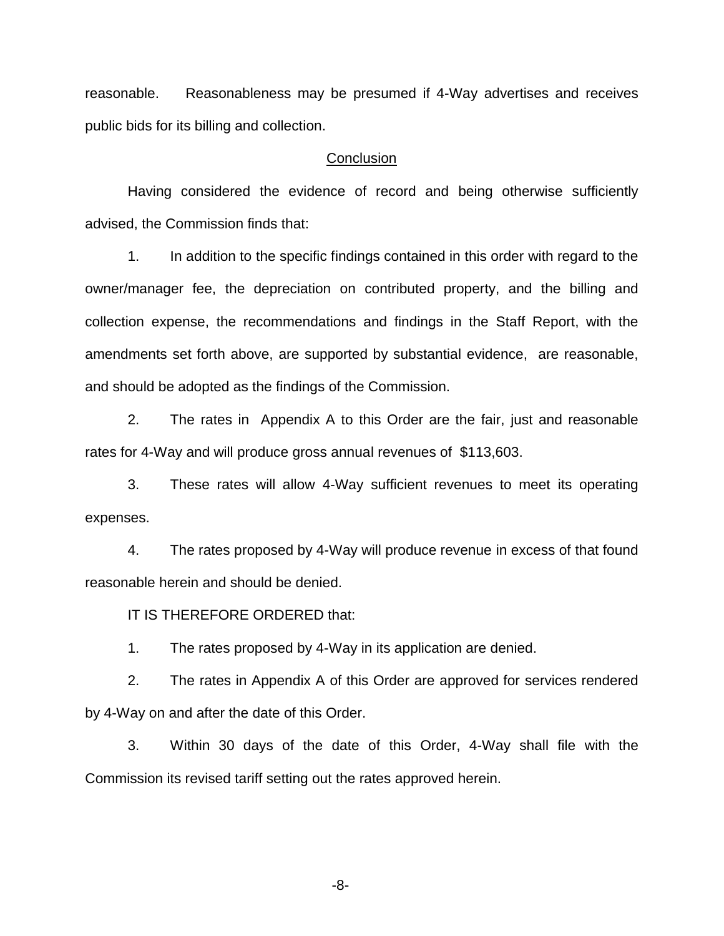reasonable. Reasonableness may be presumed if 4-Way advertises and receives public bids for its billing and collection.

#### **Conclusion**

Having considered the evidence of record and being otherwise sufficiently advised, the Commission finds that:

1. In addition to the specific findings contained in this order with regard to the owner/manager fee, the depreciation on contributed property, and the billing and collection expense, the recommendations and findings in the Staff Report, with the amendments set forth above, are supported by substantial evidence, are reasonable, and should be adopted as the findings of the Commission.

2. The rates in Appendix A to this Order are the fair, just and reasonable rates for 4-Way and will produce gross annual revenues of \$113,603.

3. These rates will allow 4-Way sufficient revenues to meet its operating expenses.

4. The rates proposed by 4-Way will produce revenue in excess of that found reasonable herein and should be denied.

IT IS THEREFORE ORDERED that:

1. The rates proposed by 4-Way in its application are denied.

2. The rates in Appendix A of this Order are approved for services rendered by 4-Way on and after the date of this Order.

3. Within 30 days of the date of this Order, 4-Way shall file with the Commission its revised tariff setting out the rates approved herein.

-8-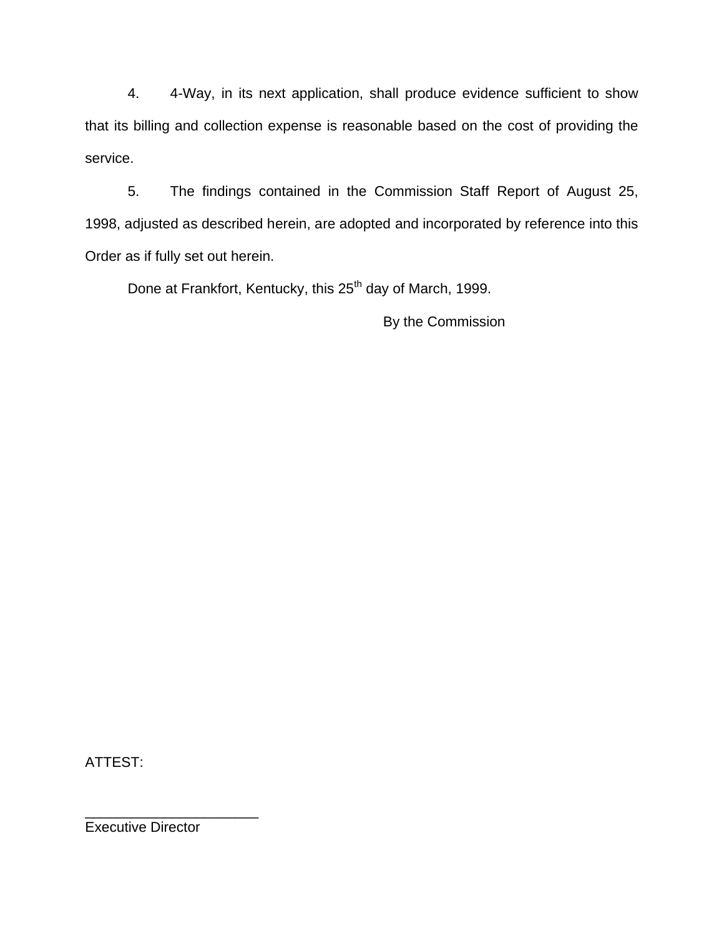4. 4-Way, in its next application, shall produce evidence sufficient to show that its billing and collection expense is reasonable based on the cost of providing the service.

5. The findings contained in the Commission Staff Report of August 25, 1998, adjusted as described herein, are adopted and incorporated by reference into this Order as if fully set out herein.

Done at Frankfort, Kentucky, this 25<sup>th</sup> day of March, 1999.

By the Commission

ATTEST:

Executive Director

\_\_\_\_\_\_\_\_\_\_\_\_\_\_\_\_\_\_\_\_\_\_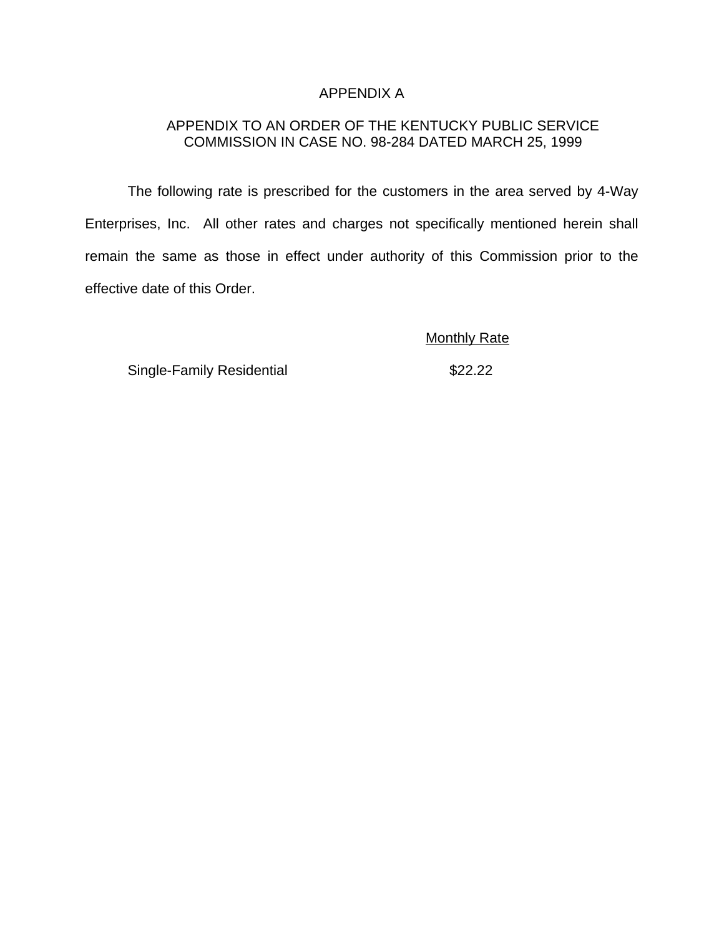## APPENDIX A

## APPENDIX TO AN ORDER OF THE KENTUCKY PUBLIC SERVICE COMMISSION IN CASE NO. 98-284 DATED MARCH 25, 1999

The following rate is prescribed for the customers in the area served by 4-Way Enterprises, Inc. All other rates and charges not specifically mentioned herein shall remain the same as those in effect under authority of this Commission prior to the effective date of this Order.

Monthly Rate

Single-Family Residential **\$22.22**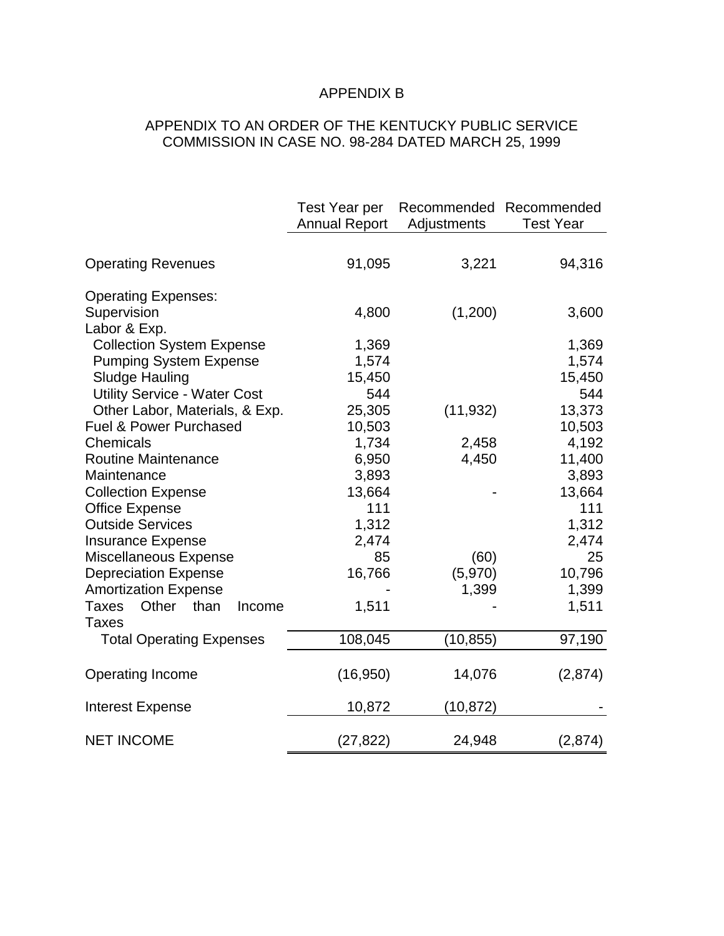# APPENDIX B

# APPENDIX TO AN ORDER OF THE KENTUCKY PUBLIC SERVICE COMMISSION IN CASE NO. 98-284 DATED MARCH 25, 1999

|                                     | <b>Test Year per</b><br><b>Annual Report</b> | Recommended Recommended<br>Adjustments | <b>Test Year</b> |
|-------------------------------------|----------------------------------------------|----------------------------------------|------------------|
| <b>Operating Revenues</b>           | 91,095                                       | 3,221                                  | 94,316           |
| <b>Operating Expenses:</b>          |                                              |                                        |                  |
| Supervision                         | 4,800                                        | (1,200)                                | 3,600            |
| Labor & Exp.                        |                                              |                                        |                  |
| <b>Collection System Expense</b>    | 1,369                                        |                                        | 1,369            |
| <b>Pumping System Expense</b>       | 1,574                                        |                                        | 1,574            |
| <b>Sludge Hauling</b>               | 15,450                                       |                                        | 15,450           |
| <b>Utility Service - Water Cost</b> | 544                                          |                                        | 544              |
| Other Labor, Materials, & Exp.      | 25,305                                       | (11, 932)                              | 13,373           |
| Fuel & Power Purchased              | 10,503                                       |                                        | 10,503           |
| Chemicals                           | 1,734                                        | 2,458                                  | 4,192            |
| <b>Routine Maintenance</b>          | 6,950                                        | 4,450                                  | 11,400           |
| Maintenance                         | 3,893                                        |                                        | 3,893            |
| <b>Collection Expense</b>           | 13,664                                       |                                        | 13,664           |
| <b>Office Expense</b>               | 111                                          |                                        | 111              |
| <b>Outside Services</b>             | 1,312                                        |                                        | 1,312            |
| <b>Insurance Expense</b>            | 2,474                                        |                                        | 2,474            |
| Miscellaneous Expense               | 85                                           | (60)                                   | 25               |
| <b>Depreciation Expense</b>         | 16,766                                       | (5,970)                                | 10,796           |
| <b>Amortization Expense</b>         |                                              | 1,399                                  | 1,399            |
| Other than<br>Taxes<br>Income       | 1,511                                        |                                        | 1,511            |
| <b>Taxes</b>                        |                                              |                                        |                  |
| <b>Total Operating Expenses</b>     | 108,045                                      | (10, 855)                              | 97,190           |
| Operating Income                    | (16, 950)                                    | 14,076                                 | (2,874)          |
| <b>Interest Expense</b>             | 10,872                                       | (10, 872)                              |                  |
| <b>NET INCOME</b>                   | (27, 822)                                    | 24,948                                 | (2,874)          |